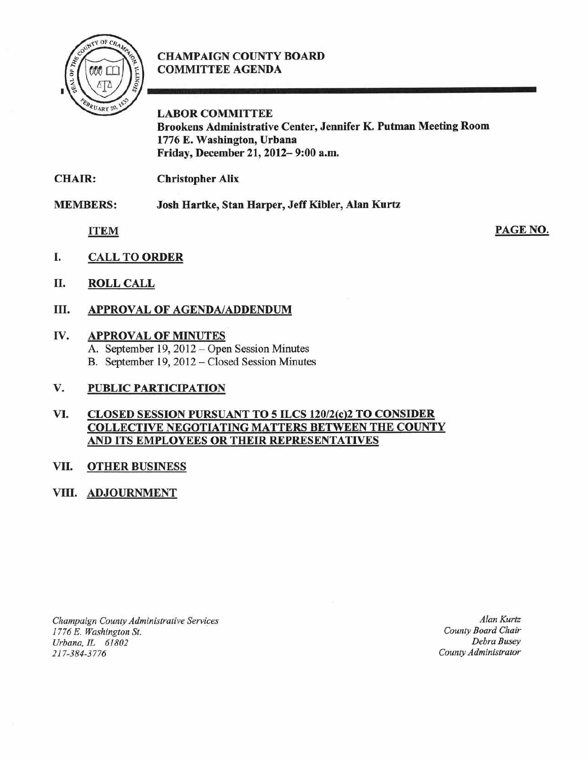

# CHAMPAIGN COUNTY BOARD COMMITTEE AGENDA

LABOR COMMITTEE Brookens Administrative Center, Jennifer K. Putman Meeting Room 1776 E. Washington, Urbana Friday, December 21, 2012— 9:00 a.m.

CHAIR: Christopher Alix

MEMBERS: Josh Hartke, Stan Harper, Jeff Kibler, Alan Kurtz

ITEM

PAGE NO.

- I. CALL TO ORDER
- II. ROLL CALL
- III. APPROVAL OF AGENDA/ADDENDUM

# IV. APPROVAL OF MINUTES

A. September 19, 2012 —Open Session Minutes B. September 19, 2012 – Closed Session Minutes

# V. PUBLIC PARTICIPATION

### VI. CLOSED SESSION PURSUANT TO 5 ILCS 120/2(c)2 TO CONSIDER COLLECTIVE NEGOTIATING MATTERS BETWEEN THE COUNTY AND ITS EMPLOYEES OR THEIR REPRESENTATIVES

# VII. OTHER BUSINESS

# VIII. ADJOURNMENT

Champaign County Administrative Services 1776 E. Washington St. Urbana. IL 61892 217-384-3776

Alan Kurtz County Board Chair Debra Busey County Administrator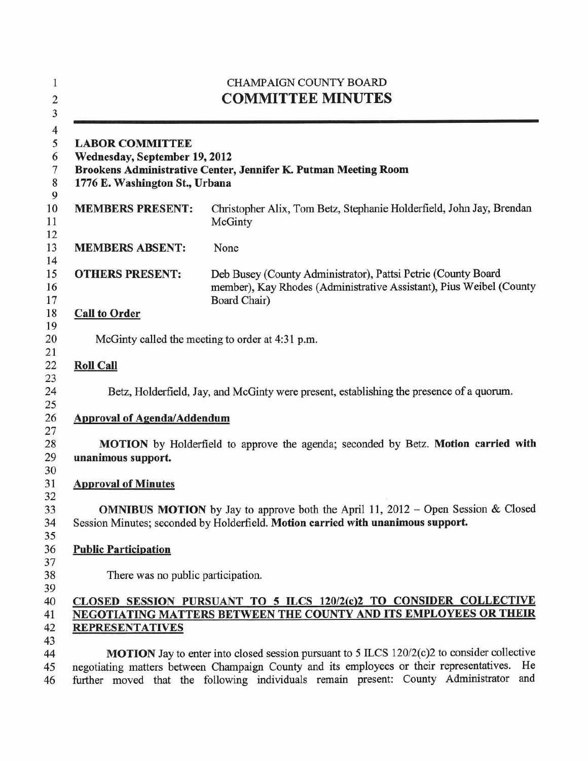| $\mathbf{1}$<br>$\overline{\mathbf{c}}$<br>$\overline{\mathbf{3}}$ | <b>CHAMPAIGN COUNTY BOARD</b><br><b>COMMITTEE MINUTES</b>                                                                                                                                                                                                                                        |                                                                                                                                                      |
|--------------------------------------------------------------------|--------------------------------------------------------------------------------------------------------------------------------------------------------------------------------------------------------------------------------------------------------------------------------------------------|------------------------------------------------------------------------------------------------------------------------------------------------------|
| $\overline{4}$<br>5<br>6<br>$\overline{7}$<br>$\,$ 8 $\,$<br>9     | <b>LABOR COMMITTEE</b><br>Wednesday, September 19, 2012<br>1776 E. Washington St., Urbana                                                                                                                                                                                                        | Brookens Administrative Center, Jennifer K. Putman Meeting Room                                                                                      |
| 10<br>11<br>12                                                     | <b>MEMBERS PRESENT:</b>                                                                                                                                                                                                                                                                          | Christopher Alix, Tom Betz, Stephanie Holderfield, John Jay, Brendan<br>McGinty                                                                      |
| 13<br>14                                                           | <b>MEMBERS ABSENT:</b>                                                                                                                                                                                                                                                                           | None                                                                                                                                                 |
| 15<br>16<br>17                                                     | <b>OTHERS PRESENT:</b>                                                                                                                                                                                                                                                                           | Deb Busey (County Administrator), Pattsi Petrie (County Board<br>member), Kay Rhodes (Administrative Assistant), Pius Weibel (County<br>Board Chair) |
| 18<br>19                                                           | <b>Call to Order</b>                                                                                                                                                                                                                                                                             |                                                                                                                                                      |
| 20                                                                 | McGinty called the meeting to order at 4:31 p.m.                                                                                                                                                                                                                                                 |                                                                                                                                                      |
| 21<br>22                                                           | <b>Roll Call</b>                                                                                                                                                                                                                                                                                 |                                                                                                                                                      |
| 23<br>24<br>25                                                     | Betz, Holderfield, Jay, and McGinty were present, establishing the presence of a quorum.                                                                                                                                                                                                         |                                                                                                                                                      |
| 26<br>27                                                           | <b>Approval of Agenda/Addendum</b>                                                                                                                                                                                                                                                               |                                                                                                                                                      |
| 28<br>29<br>30                                                     | MOTION by Holderfield to approve the agenda; seconded by Betz. Motion carried with<br>unanimous support.                                                                                                                                                                                         |                                                                                                                                                      |
| 31                                                                 | <b>Approval of Minutes</b>                                                                                                                                                                                                                                                                       |                                                                                                                                                      |
| 32<br>33<br>34<br>35                                               | <b>OMNIBUS MOTION</b> by Jay to approve both the April 11, 2012 – Open Session & Closed<br>Session Minutes; seconded by Holderfield. Motion carried with unanimous support.                                                                                                                      |                                                                                                                                                      |
| 36<br>37                                                           | <b>Public Participation</b>                                                                                                                                                                                                                                                                      |                                                                                                                                                      |
| 38<br>39                                                           | There was no public participation.                                                                                                                                                                                                                                                               |                                                                                                                                                      |
| 40<br>41<br>42                                                     | CLOSED SESSION PURSUANT TO 5 ILCS 120/2(c)2 TO CONSIDER COLLECTIVE<br><b>NEGOTIATING MATTERS BETWEEN THE COUNTY AND ITS EMPLOYEES OR THEIR</b><br><b>REPRESENTATIVES</b>                                                                                                                         |                                                                                                                                                      |
| 43                                                                 |                                                                                                                                                                                                                                                                                                  |                                                                                                                                                      |
| 44<br>45<br>46                                                     | <b>MOTION</b> Jay to enter into closed session pursuant to 5 ILCS 120/2(c)2 to consider collective<br>negotiating matters between Champaign County and its employees or their representatives.<br>He<br>further moved that the following individuals remain present: County Administrator<br>and |                                                                                                                                                      |